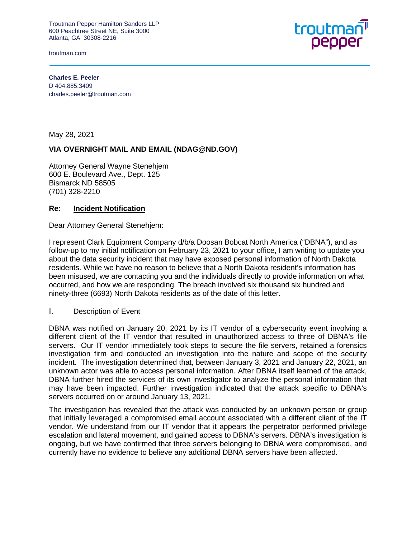Troutman Pepper Hamilton Sanders LLP 600 Peachtree Street NE, Suite 3000 Atlanta, GA 30308-2216

troutman.com



**Charles E. Peeler**  D 404.885.3409 charles.peeler@troutman.com

May 28, 2021

#### **VIA OVERNIGHT MAIL AND EMAIL (NDAG@ND.GOV)**

Attorney General Wayne Stenehjem 600 E. Boulevard Ave., Dept. 125 Bismarck ND 58505 (701) 328-2210

#### **Re: Incident Notification**

Dear Attorney General Stenehjem:

I represent Clark Equipment Company d/b/a Doosan Bobcat North America ("DBNA"), and as follow-up to my initial notification on February 23, 2021 to your office, I am writing to update you about the data security incident that may have exposed personal information of North Dakota residents. While we have no reason to believe that a North Dakota resident's information has been misused, we are contacting you and the individuals directly to provide information on what occurred, and how we are responding. The breach involved six thousand six hundred and ninety-three (6693) North Dakota residents as of the date of this letter.

I. Description of Event

DBNA was notified on January 20, 2021 by its IT vendor of a cybersecurity event involving a different client of the IT vendor that resulted in unauthorized access to three of DBNA's file servers. Our IT vendor immediately took steps to secure the file servers, retained a forensics investigation firm and conducted an investigation into the nature and scope of the security incident. The investigation determined that, between January 3, 2021 and January 22, 2021, an unknown actor was able to access personal information. After DBNA itself learned of the attack, DBNA further hired the services of its own investigator to analyze the personal information that may have been impacted. Further investigation indicated that the attack specific to DBNA's servers occurred on or around January 13, 2021.

The investigation has revealed that the attack was conducted by an unknown person or group that initially leveraged a compromised email account associated with a different client of the IT vendor. We understand from our IT vendor that it appears the perpetrator performed privilege escalation and lateral movement, and gained access to DBNA's servers. DBNA's investigation is ongoing, but we have confirmed that three servers belonging to DBNA were compromised, and currently have no evidence to believe any additional DBNA servers have been affected.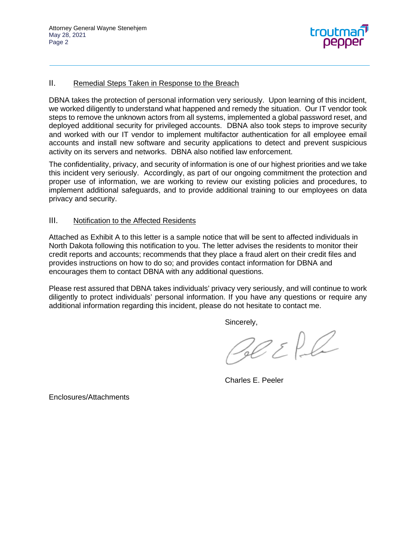

#### II. Remedial Steps Taken in Response to the Breach

DBNA takes the protection of personal information very seriously. Upon learning of this incident, we worked diligently to understand what happened and remedy the situation. Our IT vendor took steps to remove the unknown actors from all systems, implemented a global password reset, and deployed additional security for privileged accounts. DBNA also took steps to improve security and worked with our IT vendor to implement multifactor authentication for all employee email accounts and install new software and security applications to detect and prevent suspicious activity on its servers and networks. DBNA also notified law enforcement.

The confidentiality, privacy, and security of information is one of our highest priorities and we take this incident very seriously. Accordingly, as part of our ongoing commitment the protection and proper use of information, we are working to review our existing policies and procedures, to implement additional safeguards, and to provide additional training to our employees on data privacy and security.

#### III. Notification to the Affected Residents

Attached as Exhibit A to this letter is a sample notice that will be sent to affected individuals in North Dakota following this notification to you. The letter advises the residents to monitor their credit reports and accounts; recommends that they place a fraud alert on their credit files and provides instructions on how to do so; and provides contact information for DBNA and encourages them to contact DBNA with any additional questions.

Please rest assured that DBNA takes individuals' privacy very seriously, and will continue to work diligently to protect individuals' personal information. If you have any questions or require any additional information regarding this incident, please do not hesitate to contact me.

Sincerely,

Beefe

Charles E. Peeler

Enclosures/Attachments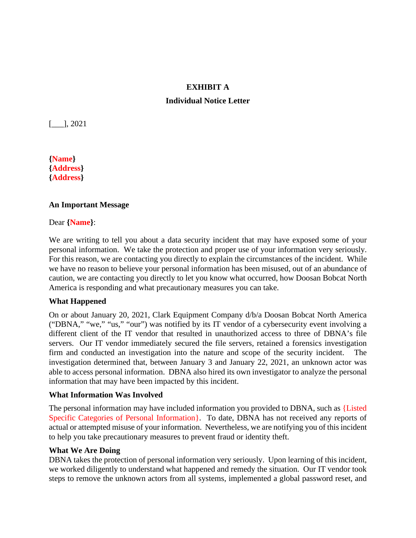### **EXHIBIT A**

## **Individual Notice Letter**

[\_\_\_], 2021

**{Name} {Address} {Address}** 

### **An Important Message**

Dear **{Name}**:

We are writing to tell you about a data security incident that may have exposed some of your personal information. We take the protection and proper use of your information very seriously. For this reason, we are contacting you directly to explain the circumstances of the incident. While we have no reason to believe your personal information has been misused, out of an abundance of caution, we are contacting you directly to let you know what occurred, how Doosan Bobcat North America is responding and what precautionary measures you can take.

### **What Happened**

On or about January 20, 2021, Clark Equipment Company d/b/a Doosan Bobcat North America ("DBNA," "we," "us," "our") was notified by its IT vendor of a cybersecurity event involving a different client of the IT vendor that resulted in unauthorized access to three of DBNA's file servers. Our IT vendor immediately secured the file servers, retained a forensics investigation firm and conducted an investigation into the nature and scope of the security incident. The investigation determined that, between January 3 and January 22, 2021, an unknown actor was able to access personal information. DBNA also hired its own investigator to analyze the personal information that may have been impacted by this incident.

### **What Information Was Involved**

The personal information may have included information you provided to DBNA, such as {Listed Specific Categories of Personal Information}. To date, DBNA has not received any reports of actual or attempted misuse of your information. Nevertheless, we are notifying you of this incident to help you take precautionary measures to prevent fraud or identity theft.

### **What We Are Doing**

DBNA takes the protection of personal information very seriously. Upon learning of this incident, we worked diligently to understand what happened and remedy the situation. Our IT vendor took steps to remove the unknown actors from all systems, implemented a global password reset, and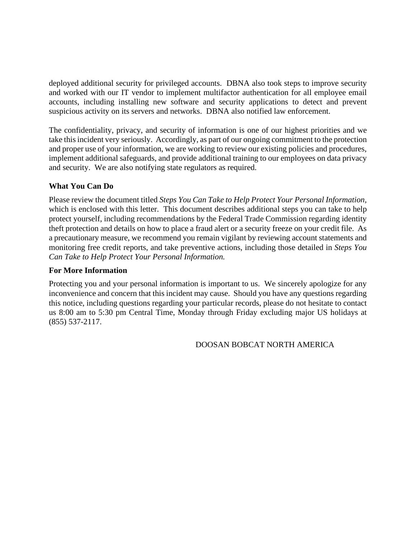deployed additional security for privileged accounts. DBNA also took steps to improve security and worked with our IT vendor to implement multifactor authentication for all employee email accounts, including installing new software and security applications to detect and prevent suspicious activity on its servers and networks. DBNA also notified law enforcement.

The confidentiality, privacy, and security of information is one of our highest priorities and we take this incident very seriously. Accordingly, as part of our ongoing commitment to the protection and proper use of your information, we are working to review our existing policies and procedures, implement additional safeguards, and provide additional training to our employees on data privacy and security. We are also notifying state regulators as required.

# **What You Can Do**

Please review the document titled *Steps You Can Take to Help Protect Your Personal Information,*  which is enclosed with this letter. This document describes additional steps you can take to help protect yourself, including recommendations by the Federal Trade Commission regarding identity theft protection and details on how to place a fraud alert or a security freeze on your credit file. As a precautionary measure, we recommend you remain vigilant by reviewing account statements and monitoring free credit reports, and take preventive actions, including those detailed in *Steps You Can Take to Help Protect Your Personal Information.* 

## **For More Information**

Protecting you and your personal information is important to us. We sincerely apologize for any inconvenience and concern that this incident may cause. Should you have any questions regarding this notice, including questions regarding your particular records, please do not hesitate to contact us 8:00 am to 5:30 pm Central Time, Monday through Friday excluding major US holidays at (855) 537-2117.

### DOOSAN BOBCAT NORTH AMERICA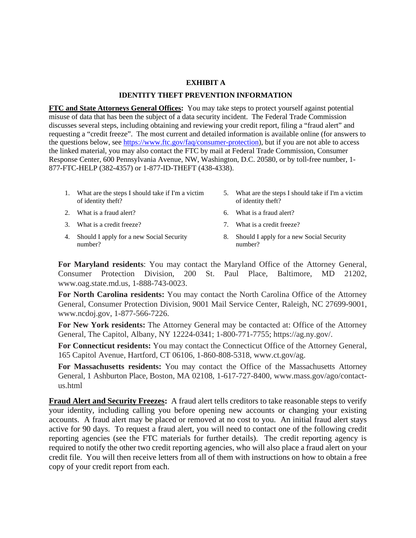#### **EXHIBIT A**

#### **IDENTITY THEFT PREVENTION INFORMATION**

**FTC and State Attorneys General Offices:** You may take steps to protect yourself against potential misuse of data that has been the subject of a data security incident. The Federal Trade Commission discusses several steps, including obtaining and reviewing your credit report, filing a "fraud alert" and requesting a "credit freeze". The most current and detailed information is available online (for answers to the questions below, see https://www.ftc.gov/faq/consumer-protection), but if you are not able to access the linked material, you may also contact the FTC by mail at Federal Trade Commission, Consumer Response Center, 600 Pennsylvania Avenue, NW, Washington, D.C. 20580, or by toll-free number, 1- 877-FTC-HELP (382-4357) or 1-877-ID-THEFT (438-4338).

- 1. What are the steps I should take if I'm a victim of identity theft?
- 5. What are the steps I should take if I'm a victim of identity theft?
- 2. What is a fraud alert? 6. What is a fraud alert?
- 3. What is a credit freeze? 7. What is a credit freeze?
- 4. Should I apply for a new Social Security number?
- 
- 
- 8. Should I apply for a new Social Security number?

**For Maryland residents**: You may contact the Maryland Office of the Attorney General, Consumer Protection Division, 200 St. Paul Place, Baltimore, MD 21202, www.oag.state.md.us, 1-888-743-0023.

**For North Carolina residents:** You may contact the North Carolina Office of the Attorney General, Consumer Protection Division, 9001 Mail Service Center, Raleigh, NC 27699-9001, www.ncdoj.gov, 1-877-566-7226.

**For New York residents:** The Attorney General may be contacted at: Office of the Attorney General, The Capitol, Albany, NY 12224-0341; 1-800-771-7755; https://ag.ny.gov/.

**For Connecticut residents:** You may contact the Connecticut Office of the Attorney General, 165 Capitol Avenue, Hartford, CT 06106, 1-860-808-5318, www.ct.gov/ag.

**For Massachusetts residents:** You may contact the Office of the Massachusetts Attorney General, 1 Ashburton Place, Boston, MA 02108, 1-617-727-8400, www.mass.gov/ago/contactus.html

**Fraud Alert and Security Freezes:** A fraud alert tells creditors to take reasonable steps to verify your identity, including calling you before opening new accounts or changing your existing accounts. A fraud alert may be placed or removed at no cost to you. An initial fraud alert stays active for 90 days. To request a fraud alert, you will need to contact one of the following credit reporting agencies (see the FTC materials for further details). The credit reporting agency is required to notify the other two credit reporting agencies, who will also place a fraud alert on your credit file. You will then receive letters from all of them with instructions on how to obtain a free copy of your credit report from each.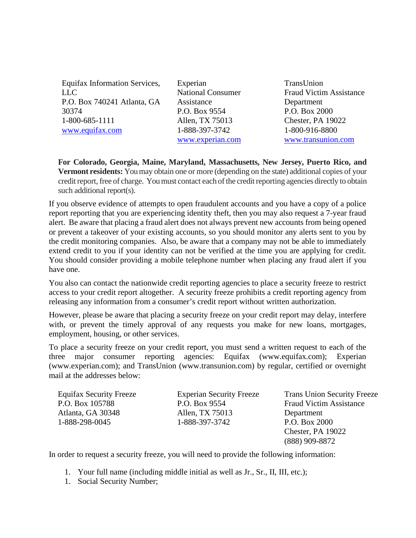| Equifax Information Services, | Experian                 | TransUnion                     |
|-------------------------------|--------------------------|--------------------------------|
| <b>LLC</b>                    | <b>National Consumer</b> | <b>Fraud Victim Assistance</b> |
| P.O. Box 740241 Atlanta, GA   | Assistance               | Department                     |
| 30374                         | P.O. Box 9554            | P.O. Box 2000                  |
| 1-800-685-1111                | Allen, TX 75013          | Chester, PA 19022              |
| www.equifax.com               | 1-888-397-3742           | 1-800-916-8800                 |
|                               | www.experian.com         | www.transunion.com             |

**For Colorado, Georgia, Maine, Maryland, Massachusetts, New Jersey, Puerto Rico, and Vermont residents:** You may obtain one or more (depending on the state) additional copies of your credit report, free of charge. You must contact each of the credit reporting agencies directly to obtain such additional report(s).

If you observe evidence of attempts to open fraudulent accounts and you have a copy of a police report reporting that you are experiencing identity theft, then you may also request a 7-year fraud alert. Be aware that placing a fraud alert does not always prevent new accounts from being opened or prevent a takeover of your existing accounts, so you should monitor any alerts sent to you by the credit monitoring companies. Also, be aware that a company may not be able to immediately extend credit to you if your identity can not be verified at the time you are applying for credit. You should consider providing a mobile telephone number when placing any fraud alert if you have one.

You also can contact the nationwide credit reporting agencies to place a security freeze to restrict access to your credit report altogether. A security freeze prohibits a credit reporting agency from releasing any information from a consumer's credit report without written authorization.

However, please be aware that placing a security freeze on your credit report may delay, interfere with, or prevent the timely approval of any requests you make for new loans, mortgages, employment, housing, or other services.

To place a security freeze on your credit report, you must send a written request to each of the three major consumer reporting agencies: Equifax (www.equifax.com); Experian (www.experian.com); and TransUnion (www.transunion.com) by regular, certified or overnight mail at the addresses below:

Equifax Security Freeze P.O. Box 105788 Atlanta, GA 30348 1-888-298-0045

Experian Security Freeze P.O. Box 9554 Allen, TX 75013 1-888-397-3742

Trans Union Security Freeze Fraud Victim Assistance Department P.O. Box 2000 Chester, PA 19022 (888) 909-8872

In order to request a security freeze, you will need to provide the following information:

- 1. Your full name (including middle initial as well as Jr., Sr., II, III, etc.);
- 1. Social Security Number;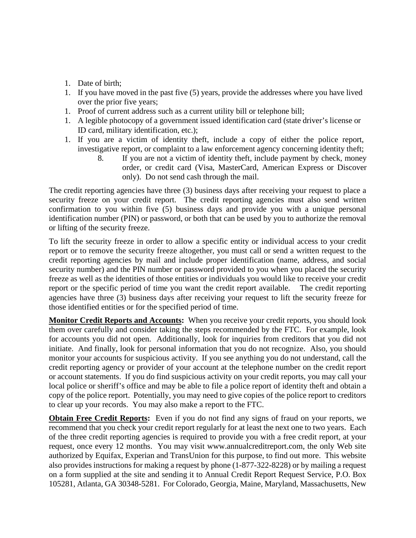- 1. Date of birth;
- 1. If you have moved in the past five (5) years, provide the addresses where you have lived over the prior five years;
- 1. Proof of current address such as a current utility bill or telephone bill;
- 1. A legible photocopy of a government issued identification card (state driver's license or ID card, military identification, etc.);
- 1. If you are a victim of identity theft, include a copy of either the police report, investigative report, or complaint to a law enforcement agency concerning identity theft;
	- 8. If you are not a victim of identity theft, include payment by check, money order, or credit card (Visa, MasterCard, American Express or Discover only). Do not send cash through the mail.

The credit reporting agencies have three (3) business days after receiving your request to place a security freeze on your credit report. The credit reporting agencies must also send written confirmation to you within five (5) business days and provide you with a unique personal identification number (PIN) or password, or both that can be used by you to authorize the removal or lifting of the security freeze.

To lift the security freeze in order to allow a specific entity or individual access to your credit report or to remove the security freeze altogether, you must call or send a written request to the credit reporting agencies by mail and include proper identification (name, address, and social security number) and the PIN number or password provided to you when you placed the security freeze as well as the identities of those entities or individuals you would like to receive your credit report or the specific period of time you want the credit report available. The credit reporting agencies have three (3) business days after receiving your request to lift the security freeze for those identified entities or for the specified period of time.

**Monitor Credit Reports and Accounts:** When you receive your credit reports, you should look them over carefully and consider taking the steps recommended by the FTC. For example, look for accounts you did not open. Additionally, look for inquiries from creditors that you did not initiate. And finally, look for personal information that you do not recognize. Also, you should monitor your accounts for suspicious activity. If you see anything you do not understand, call the credit reporting agency or provider of your account at the telephone number on the credit report or account statements. If you do find suspicious activity on your credit reports, you may call your local police or sheriff's office and may be able to file a police report of identity theft and obtain a copy of the police report. Potentially, you may need to give copies of the police report to creditors to clear up your records. You may also make a report to the FTC.

**Obtain Free Credit Reports:** Even if you do not find any signs of fraud on your reports, we recommend that you check your credit report regularly for at least the next one to two years. Each of the three credit reporting agencies is required to provide you with a free credit report, at your request, once every 12 months. You may visit www.annualcreditreport.com, the only Web site authorized by Equifax, Experian and TransUnion for this purpose, to find out more. This website also provides instructions for making a request by phone (1-877-322-8228) or by mailing a request on a form supplied at the site and sending it to Annual Credit Report Request Service, P.O. Box 105281, Atlanta, GA 30348-5281. For Colorado, Georgia, Maine, Maryland, Massachusetts, New